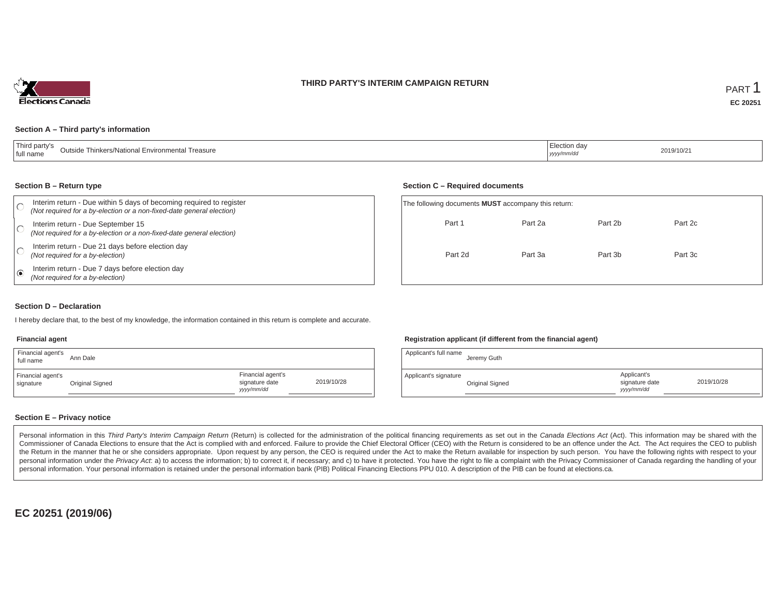### **THIRD PARTY'S INTERIM CAMPAIGN RETURN**



#### **Section A – Third party's information**

| $\pm$ Third party:<br>Outside Thinkers/National Environmental Treasure<br>I full name | :lection da\<br>.<br>yyyy/mm/dd | 2019/10/21 |
|---------------------------------------------------------------------------------------|---------------------------------|------------|
|---------------------------------------------------------------------------------------|---------------------------------|------------|

#### **Section B – Return type**

|   | Interim return - Due within 5 days of becoming required to register<br>(Not required for a by-election or a non-fixed-date general election) | The following documents <b>MUST</b> accompany this return: |         |         |         |  |  |  |
|---|----------------------------------------------------------------------------------------------------------------------------------------------|------------------------------------------------------------|---------|---------|---------|--|--|--|
|   | Interim return - Due September 15<br>(Not required for a by-election or a non-fixed-date general election)                                   | Part 1                                                     | Part 2a | Part 2b | Part 2c |  |  |  |
|   | Interim return - Due 21 days before election day<br>(Not required for a by-election)                                                         | Part 2d                                                    | Part 3a | Part 3b | Part 3c |  |  |  |
| ি | Interim return - Due 7 days before election day<br>(Not required for a by-election)                                                          |                                                            |         |         |         |  |  |  |

### **Section D – Declaration**

I hereby declare that, to the best of my knowledge, the information contained in this return is complete and accurate.

#### **Financial agent**

| Financial agent's<br>full name | Ann Dale        |                                                  |            |
|--------------------------------|-----------------|--------------------------------------------------|------------|
| Financial agent's<br>signature | Original Signed | Financial agent's<br>signature date<br>yyy/mm/dd | 2019/10/28 |

### **Registration applicant (if different from the financial agent)**

| Applicant's full name | Jeremy Guth     |                                             |            |
|-----------------------|-----------------|---------------------------------------------|------------|
| Applicant's signature | Original Signed | Applicant's<br>signature date<br>yyyy/mm/dd | 2019/10/28 |

### **Section E – Privacy notice**

Personal information in this Third Party's Interim Campaign Return (Return) is collected for the administration of the political financing requirements as set out in the Canada Elections Act (Act). This information may be Commissioner of Canada Elections to ensure that the Act is complied with and enforced. Failure to provide the Chief Electoral Officer (CEO) with the Return is considered to be an offence under the Act. The Act requires the the Return in the manner that he or she considers appropriate. Upon request by any person, the CEO is required under the Act to make the Return available for inspection by such person. You have the following rights with re personal information under the Privacy Act. a) to access the information; b) to correct it, if necessary; and c) to have it protected. You have the right to file a complaint with the Privacy Commissioner of Canada regardin personal information. Your personal information is retained under the personal information bank (PIB) Political Financing Elections PPU 010. A description of the PIB can be found at elections.ca.

**EC 20251 (2019/06)**

### **Section C – Required documents**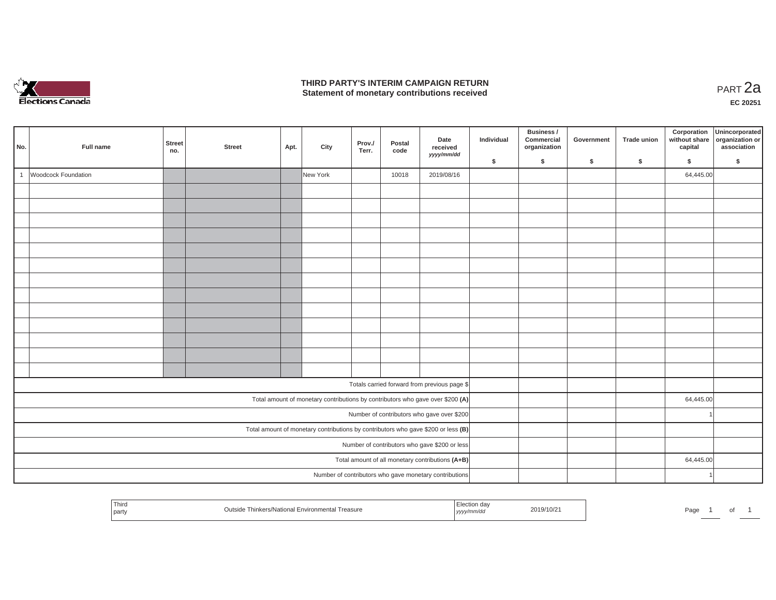

### **THIRD PARTY'S INTERIM CAMPAIGN RETURN THIRD PARTY'S INTERIM CAMPAIGN RETURN<br>Statement of monetary contributions received PART 2a**

| No.          | Full name           | <b>Street</b><br>no.                                                                | <b>Street</b> | Apt. | City     | Prov./<br>Terr. | Postal<br>code | Date<br>received<br>yyyy/mm/dd                         | Individual | Business /<br>Commercial<br>organization | Government | <b>Trade union</b> | Corporation<br>without share<br>capital | Unincorporated<br>organization or<br>association |
|--------------|---------------------|-------------------------------------------------------------------------------------|---------------|------|----------|-----------------|----------------|--------------------------------------------------------|------------|------------------------------------------|------------|--------------------|-----------------------------------------|--------------------------------------------------|
|              |                     |                                                                                     |               |      |          |                 |                |                                                        | \$         | \$                                       | \$         | \$                 | \$                                      | \$                                               |
| $\mathbf{1}$ | Woodcock Foundation |                                                                                     |               |      | New York |                 | 10018          | 2019/08/16                                             |            |                                          |            |                    | 64,445.00                               |                                                  |
|              |                     |                                                                                     |               |      |          |                 |                |                                                        |            |                                          |            |                    |                                         |                                                  |
|              |                     |                                                                                     |               |      |          |                 |                |                                                        |            |                                          |            |                    |                                         |                                                  |
|              |                     |                                                                                     |               |      |          |                 |                |                                                        |            |                                          |            |                    |                                         |                                                  |
|              |                     |                                                                                     |               |      |          |                 |                |                                                        |            |                                          |            |                    |                                         |                                                  |
|              |                     |                                                                                     |               |      |          |                 |                |                                                        |            |                                          |            |                    |                                         |                                                  |
|              |                     |                                                                                     |               |      |          |                 |                |                                                        |            |                                          |            |                    |                                         |                                                  |
|              |                     |                                                                                     |               |      |          |                 |                |                                                        |            |                                          |            |                    |                                         |                                                  |
|              |                     |                                                                                     |               |      |          |                 |                |                                                        |            |                                          |            |                    |                                         |                                                  |
|              |                     |                                                                                     |               |      |          |                 |                |                                                        |            |                                          |            |                    |                                         |                                                  |
|              |                     |                                                                                     |               |      |          |                 |                |                                                        |            |                                          |            |                    |                                         |                                                  |
|              |                     |                                                                                     |               |      |          |                 |                |                                                        |            |                                          |            |                    |                                         |                                                  |
|              |                     |                                                                                     |               |      |          |                 |                |                                                        |            |                                          |            |                    |                                         |                                                  |
|              |                     |                                                                                     |               |      |          |                 |                |                                                        |            |                                          |            |                    |                                         |                                                  |
|              |                     |                                                                                     |               |      |          |                 |                |                                                        |            |                                          |            |                    |                                         |                                                  |
|              |                     |                                                                                     |               |      |          |                 |                | Totals carried forward from previous page \$           |            |                                          |            |                    |                                         |                                                  |
|              |                     | Total amount of monetary contributions by contributors who gave over \$200 (A)      |               |      |          |                 |                |                                                        |            |                                          |            |                    | 64,445.00                               |                                                  |
|              |                     | Number of contributors who gave over \$200                                          |               |      |          |                 |                |                                                        |            |                                          |            |                    |                                         |                                                  |
|              |                     | Total amount of monetary contributions by contributors who gave \$200 or less $(B)$ |               |      |          |                 |                |                                                        |            |                                          |            |                    |                                         |                                                  |
|              |                     | Number of contributors who gave \$200 or less                                       |               |      |          |                 |                |                                                        |            |                                          |            |                    |                                         |                                                  |
|              |                     |                                                                                     |               |      |          |                 |                | Total amount of all monetary contributions (A+B)       |            |                                          |            |                    | 64,445.00                               |                                                  |
|              |                     |                                                                                     |               |      |          |                 |                | Number of contributors who gave monetary contributions |            |                                          |            |                    |                                         |                                                  |

| Third<br>  party | ∩inkers/National F<br><sup>1</sup> Environmental<br><sup>1</sup> Treasure<br>יי ה<br>-- | 2019/10/21<br>, уууул | Pag⊾<br>◡ |
|------------------|-----------------------------------------------------------------------------------------|-----------------------|-----------|
|------------------|-----------------------------------------------------------------------------------------|-----------------------|-----------|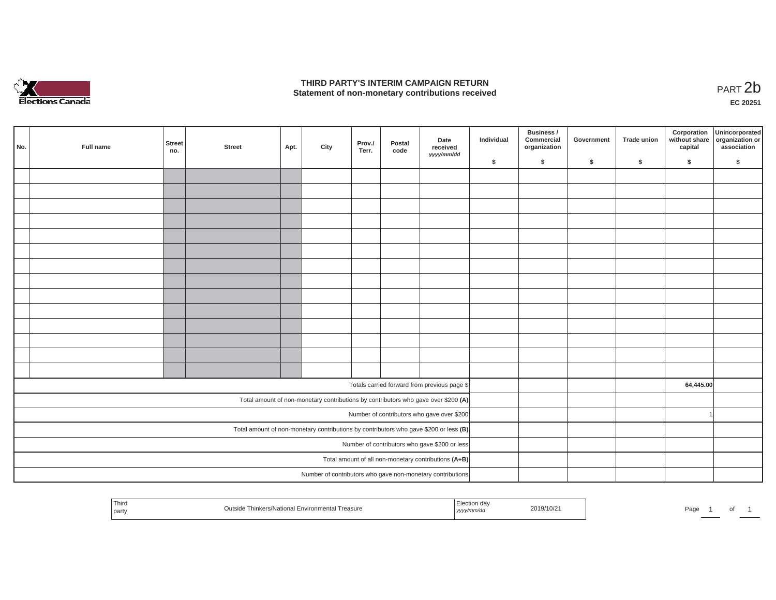

### **THIRD PARTY'S INTERIM CAMPAIGN RETURN**  THIRD PARTY'S INTERIM CAMPAIGN RETURN<br>Statement of non-monetary contributions received<br>**PART 2**b

**EC 20251**

| No. | Full name                                            | Street<br>no.                                                                         | <b>Street</b> | Apt. | City | Prov./<br>Terr. | Postal<br>code | Date<br>received<br>yyyy/mm/dd                                                     | Individual | Business /<br>Commercial<br>organization | Government | <b>Trade union</b> | Corporation<br>capital | Unincorporated<br>without share organization or<br>association |
|-----|------------------------------------------------------|---------------------------------------------------------------------------------------|---------------|------|------|-----------------|----------------|------------------------------------------------------------------------------------|------------|------------------------------------------|------------|--------------------|------------------------|----------------------------------------------------------------|
|     |                                                      |                                                                                       |               |      |      |                 |                |                                                                                    | \$         | \$                                       | \$         | \$                 | \$                     | \$                                                             |
|     |                                                      |                                                                                       |               |      |      |                 |                |                                                                                    |            |                                          |            |                    |                        |                                                                |
|     |                                                      |                                                                                       |               |      |      |                 |                |                                                                                    |            |                                          |            |                    |                        |                                                                |
|     |                                                      |                                                                                       |               |      |      |                 |                |                                                                                    |            |                                          |            |                    |                        |                                                                |
|     |                                                      |                                                                                       |               |      |      |                 |                |                                                                                    |            |                                          |            |                    |                        |                                                                |
|     |                                                      |                                                                                       |               |      |      |                 |                |                                                                                    |            |                                          |            |                    |                        |                                                                |
|     |                                                      |                                                                                       |               |      |      |                 |                |                                                                                    |            |                                          |            |                    |                        |                                                                |
|     |                                                      |                                                                                       |               |      |      |                 |                |                                                                                    |            |                                          |            |                    |                        |                                                                |
|     |                                                      |                                                                                       |               |      |      |                 |                |                                                                                    |            |                                          |            |                    |                        |                                                                |
|     |                                                      |                                                                                       |               |      |      |                 |                |                                                                                    |            |                                          |            |                    |                        |                                                                |
|     |                                                      |                                                                                       |               |      |      |                 |                |                                                                                    |            |                                          |            |                    |                        |                                                                |
|     |                                                      |                                                                                       |               |      |      |                 |                |                                                                                    |            |                                          |            |                    |                        |                                                                |
|     |                                                      |                                                                                       |               |      |      |                 |                |                                                                                    |            |                                          |            |                    |                        |                                                                |
|     |                                                      |                                                                                       |               |      |      |                 |                |                                                                                    |            |                                          |            |                    |                        |                                                                |
|     |                                                      |                                                                                       |               |      |      |                 |                |                                                                                    |            |                                          |            |                    |                        |                                                                |
|     |                                                      |                                                                                       |               |      |      |                 |                |                                                                                    |            |                                          |            |                    |                        |                                                                |
|     |                                                      |                                                                                       |               |      |      |                 |                | Totals carried forward from previous page \$                                       |            |                                          |            |                    | 64,445.00              |                                                                |
|     |                                                      |                                                                                       |               |      |      |                 |                | Total amount of non-monetary contributions by contributors who gave over \$200 (A) |            |                                          |            |                    |                        |                                                                |
|     | Number of contributors who gave over \$200           |                                                                                       |               |      |      |                 |                |                                                                                    |            |                                          |            |                    |                        | $\overline{1}$                                                 |
|     |                                                      | Total amount of non-monetary contributions by contributors who gave \$200 or less (B) |               |      |      |                 |                |                                                                                    |            |                                          |            |                    |                        |                                                                |
|     | Number of contributors who gave \$200 or less        |                                                                                       |               |      |      |                 |                |                                                                                    |            |                                          |            |                    |                        |                                                                |
|     | Total amount of all non-monetary contributions (A+B) |                                                                                       |               |      |      |                 |                |                                                                                    |            |                                          |            |                    |                        |                                                                |
|     |                                                      |                                                                                       |               |      |      |                 |                | Number of contributors who gave non-monetary contributions                         |            |                                          |            |                    |                        |                                                                |

| Third<br>part | Thinkers/National<br>nvironmenta<br>Treasure | ר מר.<br>m/a.<br>, , , , , | 2019/10/2 | Page |  | ັ |
|---------------|----------------------------------------------|----------------------------|-----------|------|--|---|
|---------------|----------------------------------------------|----------------------------|-----------|------|--|---|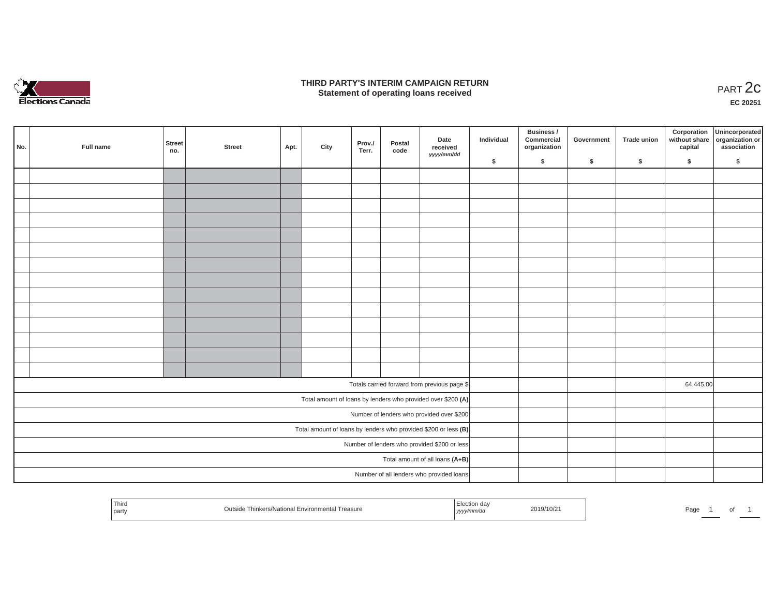

### **THIRD PARTY'S INTERIM CAMPAIGN RETURN**  RD PARTY'S INTERIM CAMPAIGN RETURN<br>Statement of operating loans received **PART 2c**

**EC 20251**

| No. | Full name                                                       | Street<br>no.                                                | <b>Street</b> | Apt. | City | Prov./<br>Terr. | Postal<br>code | Date<br>received<br>yyyy/mm/dd               | Individual | <b>Business /</b><br>Commercial<br>organization | Government | Trade union | Corporation<br>capital | Unincorporated<br>without share organization or<br>association |
|-----|-----------------------------------------------------------------|--------------------------------------------------------------|---------------|------|------|-----------------|----------------|----------------------------------------------|------------|-------------------------------------------------|------------|-------------|------------------------|----------------------------------------------------------------|
|     |                                                                 |                                                              |               |      |      |                 |                |                                              | \$         | \$                                              | \$         | \$          | \$                     | \$                                                             |
|     |                                                                 |                                                              |               |      |      |                 |                |                                              |            |                                                 |            |             |                        |                                                                |
|     |                                                                 |                                                              |               |      |      |                 |                |                                              |            |                                                 |            |             |                        |                                                                |
|     |                                                                 |                                                              |               |      |      |                 |                |                                              |            |                                                 |            |             |                        |                                                                |
|     |                                                                 |                                                              |               |      |      |                 |                |                                              |            |                                                 |            |             |                        |                                                                |
|     |                                                                 |                                                              |               |      |      |                 |                |                                              |            |                                                 |            |             |                        |                                                                |
|     |                                                                 |                                                              |               |      |      |                 |                |                                              |            |                                                 |            |             |                        |                                                                |
|     |                                                                 |                                                              |               |      |      |                 |                |                                              |            |                                                 |            |             |                        |                                                                |
|     |                                                                 |                                                              |               |      |      |                 |                |                                              |            |                                                 |            |             |                        |                                                                |
|     |                                                                 |                                                              |               |      |      |                 |                |                                              |            |                                                 |            |             |                        |                                                                |
|     |                                                                 |                                                              |               |      |      |                 |                |                                              |            |                                                 |            |             |                        |                                                                |
|     |                                                                 |                                                              |               |      |      |                 |                |                                              |            |                                                 |            |             |                        |                                                                |
|     |                                                                 |                                                              |               |      |      |                 |                |                                              |            |                                                 |            |             |                        |                                                                |
|     |                                                                 |                                                              |               |      |      |                 |                |                                              |            |                                                 |            |             |                        |                                                                |
|     |                                                                 |                                                              |               |      |      |                 |                |                                              |            |                                                 |            |             |                        |                                                                |
|     |                                                                 |                                                              |               |      |      |                 |                |                                              |            |                                                 |            |             |                        |                                                                |
|     |                                                                 |                                                              |               |      |      |                 |                | Totals carried forward from previous page \$ |            |                                                 |            |             | 64,445.00              |                                                                |
|     |                                                                 | Total amount of loans by lenders who provided over \$200 (A) |               |      |      |                 |                |                                              |            |                                                 |            |             |                        |                                                                |
|     | Number of lenders who provided over \$200                       |                                                              |               |      |      |                 |                |                                              |            |                                                 |            |             |                        |                                                                |
|     | Total amount of loans by lenders who provided \$200 or less (B) |                                                              |               |      |      |                 |                |                                              |            |                                                 |            |             |                        |                                                                |
|     | Number of lenders who provided \$200 or less                    |                                                              |               |      |      |                 |                |                                              |            |                                                 |            |             |                        |                                                                |
|     |                                                                 | Total amount of all loans (A+B)                              |               |      |      |                 |                |                                              |            |                                                 |            |             |                        |                                                                |
|     |                                                                 |                                                              |               |      |      |                 |                | Number of all lenders who provided loans     |            |                                                 |            |             |                        |                                                                |
|     |                                                                 |                                                              |               |      |      |                 |                |                                              |            |                                                 |            |             |                        |                                                                |

| ,,,,, |  | Thiro<br>party | <i>ironmontol</i><br>collectional i<br>Treasure<br>.nkers/<br>wusiu<br>$-1.311$ |  | /10/2<br>- 2011 W | Page |  |  |  |
|-------|--|----------------|---------------------------------------------------------------------------------|--|-------------------|------|--|--|--|
|-------|--|----------------|---------------------------------------------------------------------------------|--|-------------------|------|--|--|--|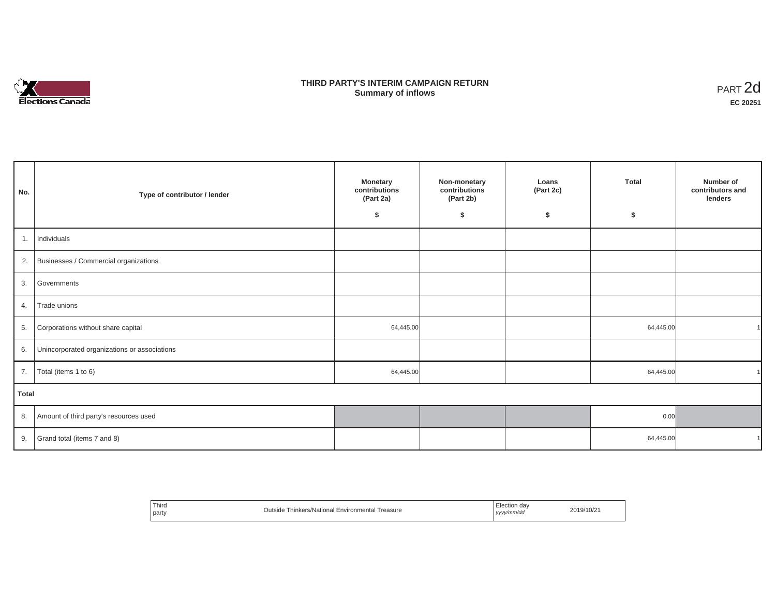

## **THIRD PARTY'S INTERIM CAMPAIGN RETURN SUMMARY STATE SUMMARY OF A SUMMARY OF A SUMMARY OF A SUMMARY OF A SUMMARY OF A SUMMARY OF A SUMMARY OF A SUMMA**<br> **Summary of inflows**

| No.   | Type of contributor / lender                    | <b>Monetary</b><br>contributions<br>(Part 2a)<br>\$ | Non-monetary<br>contributions<br>(Part 2b)<br>\$ | Loans<br>(Part 2c)<br>\$ | <b>Total</b><br>\$ | Number of<br>contributors and<br>lenders |
|-------|-------------------------------------------------|-----------------------------------------------------|--------------------------------------------------|--------------------------|--------------------|------------------------------------------|
| 1.    | Individuals                                     |                                                     |                                                  |                          |                    |                                          |
|       | 2. Businesses / Commercial organizations        |                                                     |                                                  |                          |                    |                                          |
| 3.    | Governments                                     |                                                     |                                                  |                          |                    |                                          |
| 4.    | Trade unions                                    |                                                     |                                                  |                          |                    |                                          |
| 5.    | Corporations without share capital              | 64,445.00                                           |                                                  |                          | 64,445.00          |                                          |
|       | 6. Unincorporated organizations or associations |                                                     |                                                  |                          |                    |                                          |
| 7.    | Total (items 1 to 6)                            | 64,445.00                                           |                                                  |                          | 64,445.00          |                                          |
| Total |                                                 |                                                     |                                                  |                          |                    |                                          |
|       | 8. Amount of third party's resources used       |                                                     |                                                  |                          | 0.00               |                                          |
|       | 9. Grand total (items $7$ and 8)                |                                                     |                                                  |                          | 64,445.00          |                                          |

| ' Third<br>Thinkers/National Environmental Treasure<br><b>Jutside</b><br>party | Election dav<br>2019/10/21<br>yyyy/mm/dd |
|--------------------------------------------------------------------------------|------------------------------------------|
|--------------------------------------------------------------------------------|------------------------------------------|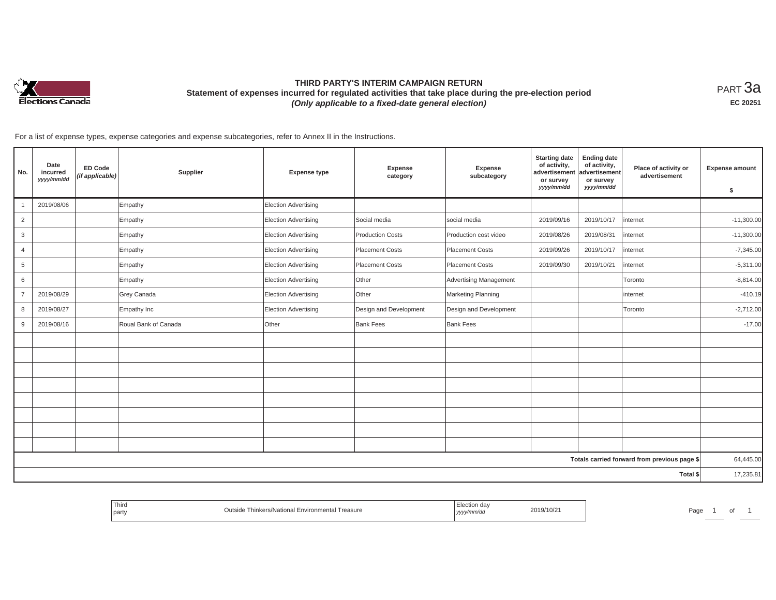

# **THIRD PARTY'S INTERIM CAMPAIGN RETURN Statement of expenses incurred for regulated activities that take place during the pre-election period**  *(Only applicable to a fixed-date general election)*

<code>PART $3$ a</code> **EC 20251**

For a list of expense types, expense categories and expense subcategories, refer to Annex II in the Instructions.

| No.            | Date<br>incurred<br>yyyy/mm/dd | <b>ED Code</b><br>(if applicable) | Supplier             | <b>Expense type</b>         | Expense<br>category     | Expense<br>subcategory        | <b>Starting date</b><br>of activity,<br>advertisement<br>or survey<br>yyyy/mm/dd | <b>Ending date</b><br>of activity,<br>advertisement<br>or survey<br>yyyy/mm/dd | Place of activity or<br>advertisement        | <b>Expense amount</b><br>\$ |
|----------------|--------------------------------|-----------------------------------|----------------------|-----------------------------|-------------------------|-------------------------------|----------------------------------------------------------------------------------|--------------------------------------------------------------------------------|----------------------------------------------|-----------------------------|
|                | 2019/08/06                     |                                   | Empathy              | <b>Election Advertising</b> |                         |                               |                                                                                  |                                                                                |                                              |                             |
| $\overline{2}$ |                                |                                   | Empathy              | <b>Election Advertising</b> | Social media            | social media                  | 2019/09/16                                                                       | 2019/10/17                                                                     | internet                                     | $-11,300.00$                |
| 3              |                                |                                   | Empathy              | <b>Election Advertising</b> | <b>Production Costs</b> | Production cost video         | 2019/08/26                                                                       | 2019/08/31                                                                     | internet                                     | $-11,300.00$                |
| $\overline{4}$ |                                |                                   | Empathy              | <b>Election Advertising</b> | Placement Costs         | <b>Placement Costs</b>        | 2019/09/26                                                                       | 2019/10/17                                                                     | internet                                     | $-7,345.00$                 |
| 5              |                                |                                   | Empathy              | <b>Election Advertising</b> | Placement Costs         | <b>Placement Costs</b>        | 2019/09/30                                                                       | 2019/10/21                                                                     | internet                                     | $-5,311.00$                 |
| 6              |                                |                                   | Empathy              | <b>Election Advertising</b> | Other                   | <b>Advertising Management</b> |                                                                                  |                                                                                | Toronto                                      | $-8,814.00$                 |
| $\overline{7}$ | 2019/08/29                     |                                   | Grey Canada          | <b>Election Advertising</b> | Other                   | Marketing Planning            |                                                                                  |                                                                                | internet                                     | $-410.19$                   |
| 8              | 2019/08/27                     |                                   | Empathy Inc          | <b>Election Advertising</b> | Design and Development  | Design and Development        |                                                                                  |                                                                                | Toronto                                      | $-2,712.00$                 |
| 9              | 2019/08/16                     |                                   | Roual Bank of Canada | Other                       | <b>Bank Fees</b>        | <b>Bank Fees</b>              |                                                                                  |                                                                                |                                              | $-17.00$                    |
|                |                                |                                   |                      |                             |                         |                               |                                                                                  |                                                                                |                                              |                             |
|                |                                |                                   |                      |                             |                         |                               |                                                                                  |                                                                                |                                              |                             |
|                |                                |                                   |                      |                             |                         |                               |                                                                                  |                                                                                |                                              |                             |
|                |                                |                                   |                      |                             |                         |                               |                                                                                  |                                                                                |                                              |                             |
|                |                                |                                   |                      |                             |                         |                               |                                                                                  |                                                                                |                                              |                             |
|                |                                |                                   |                      |                             |                         |                               |                                                                                  |                                                                                |                                              |                             |
|                |                                |                                   |                      |                             |                         |                               |                                                                                  |                                                                                |                                              |                             |
|                |                                |                                   |                      |                             |                         |                               |                                                                                  |                                                                                |                                              |                             |
|                |                                |                                   |                      |                             |                         |                               |                                                                                  |                                                                                | Totals carried forward from previous page \$ | 64,445.00                   |
|                |                                |                                   |                      |                             |                         |                               |                                                                                  |                                                                                | Total \$                                     | 17,235.81                   |

| ' Thirc<br>Thinkers/National Environmental<br>Treasure<br>party | 2019/10/2<br>. | າລ~<br>aut' |
|-----------------------------------------------------------------|----------------|-------------|
|-----------------------------------------------------------------|----------------|-------------|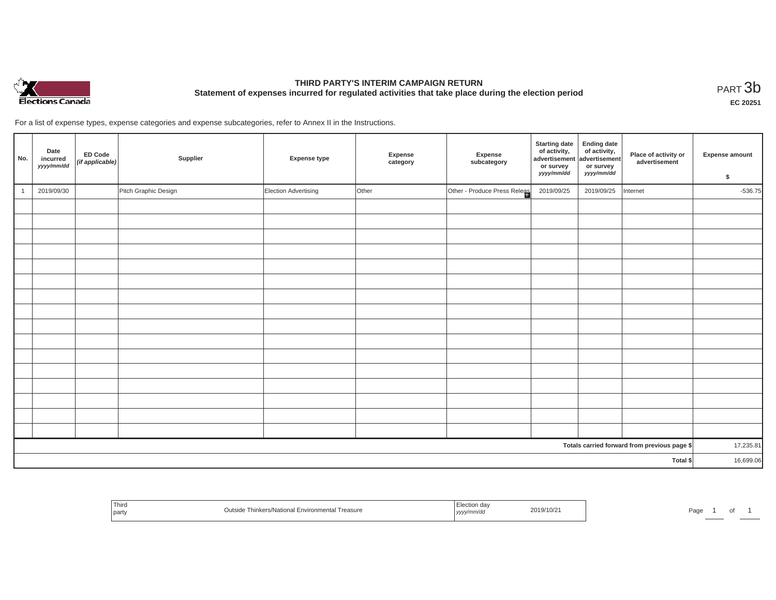

# **THIRD PARTY'S INTERIM CAMPAIGN RETURN Statement of expenses incurred for regulated activities that take place during the election period**<br>PART  $3\text{b}$

**EC 20251**

For a list of expense types, expense categories and expense subcategories, refer to Annex II in the Instructions.

| No.      | Date<br>incurred<br>yyyy/mm/dd | <b>ED Code</b><br>$(if$ applicable) | Supplier             | <b>Expense type</b>  | Expense<br>category | Expense<br>subcategory       | <b>Starting date</b><br>of activity,<br>advertisement<br>or survey<br>yyyy/mm/dd | <b>Ending date</b><br>of activity,<br>advertisement<br>or survey<br>yyyy/mm/dd | Place of activity or<br>advertisement        | <b>Expense amount</b><br>\$ |
|----------|--------------------------------|-------------------------------------|----------------------|----------------------|---------------------|------------------------------|----------------------------------------------------------------------------------|--------------------------------------------------------------------------------|----------------------------------------------|-----------------------------|
|          | 2019/09/30                     |                                     | Pitch Graphic Design | Election Advertising | Other               | Other - Produce Press Releas | 2019/09/25                                                                       | 2019/09/25                                                                     | Internet                                     | $-536.75$                   |
|          |                                |                                     |                      |                      |                     |                              |                                                                                  |                                                                                |                                              |                             |
|          |                                |                                     |                      |                      |                     |                              |                                                                                  |                                                                                |                                              |                             |
|          |                                |                                     |                      |                      |                     |                              |                                                                                  |                                                                                |                                              |                             |
|          |                                |                                     |                      |                      |                     |                              |                                                                                  |                                                                                |                                              |                             |
|          |                                |                                     |                      |                      |                     |                              |                                                                                  |                                                                                |                                              |                             |
|          |                                |                                     |                      |                      |                     |                              |                                                                                  |                                                                                |                                              |                             |
|          |                                |                                     |                      |                      |                     |                              |                                                                                  |                                                                                |                                              |                             |
|          |                                |                                     |                      |                      |                     |                              |                                                                                  |                                                                                |                                              |                             |
|          |                                |                                     |                      |                      |                     |                              |                                                                                  |                                                                                |                                              |                             |
|          |                                |                                     |                      |                      |                     |                              |                                                                                  |                                                                                |                                              |                             |
|          |                                |                                     |                      |                      |                     |                              |                                                                                  |                                                                                |                                              |                             |
|          |                                |                                     |                      |                      |                     |                              |                                                                                  |                                                                                |                                              |                             |
|          |                                |                                     |                      |                      |                     |                              |                                                                                  |                                                                                |                                              |                             |
|          |                                |                                     |                      |                      |                     |                              |                                                                                  |                                                                                |                                              |                             |
|          |                                |                                     |                      |                      |                     |                              |                                                                                  |                                                                                |                                              |                             |
|          |                                |                                     |                      |                      |                     |                              |                                                                                  |                                                                                |                                              |                             |
|          |                                |                                     |                      |                      |                     |                              |                                                                                  |                                                                                | Totals carried forward from previous page \$ | 17,235.81                   |
| Total \$ |                                |                                     |                      |                      |                     |                              | 16,699.06                                                                        |                                                                                |                                              |                             |

| Third<br>party | hinkers/National Environmental<br>Treasure<br>UUISKI | ,,,,, | 2019/10/21 | ∽aut |  |  |
|----------------|------------------------------------------------------|-------|------------|------|--|--|
|----------------|------------------------------------------------------|-------|------------|------|--|--|